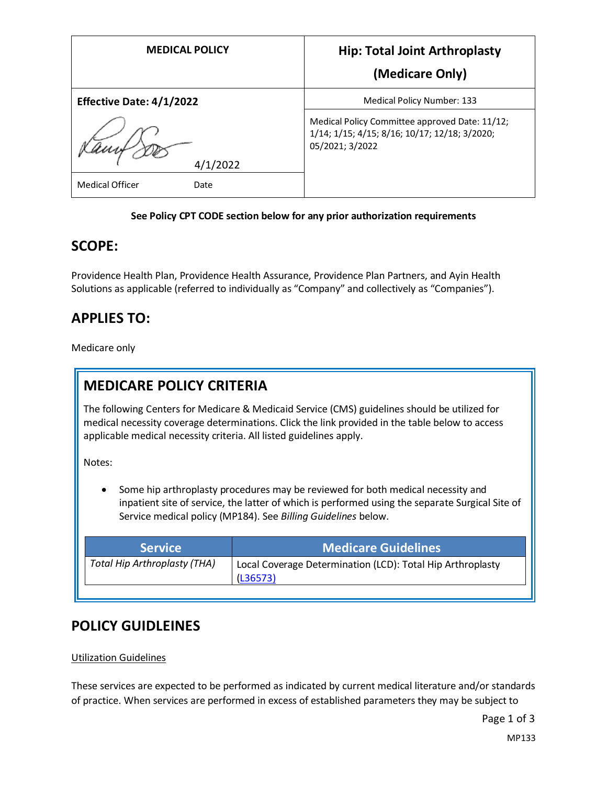| <b>MEDICAL POLICY</b>           | <b>Hip: Total Joint Arthroplasty</b>                                                                               |
|---------------------------------|--------------------------------------------------------------------------------------------------------------------|
|                                 | (Medicare Only)                                                                                                    |
| <b>Effective Date: 4/1/2022</b> | Medical Policy Number: 133                                                                                         |
|                                 | Medical Policy Committee approved Date: 11/12;<br>1/14; 1/15; 4/15; 8/16; 10/17; 12/18; 3/2020;<br>05/2021; 3/2022 |
| /2022                           |                                                                                                                    |
| <b>Medical Officer</b><br>Date  |                                                                                                                    |

#### **See Policy CPT CODE section below for any prior authorization requirements**

### **SCOPE:**

Providence Health Plan, Providence Health Assurance, Providence Plan Partners, and Ayin Health Solutions as applicable (referred to individually as "Company" and collectively as "Companies").

### **APPLIES TO:**

Medicare only

## **MEDICARE POLICY CRITERIA**

The following Centers for Medicare & Medicaid Service (CMS) guidelines should be utilized for medical necessity coverage determinations. Click the link provided in the table below to access applicable medical necessity criteria. All listed guidelines apply.

Notes:

Some hip arthroplasty procedures may be reviewed for both medical necessity and inpatient site of service, the latter of which is performed using the separate Surgical Site of Service medical policy (MP184). See *Billing Guidelines* below.

| <b>Service</b>                      | <b>Medicare Guidelines</b>                                             |
|-------------------------------------|------------------------------------------------------------------------|
| <b>Total Hip Arthroplasty (THA)</b> | Local Coverage Determination (LCD): Total Hip Arthroplasty<br>(L36573) |

# **POLICY GUIDLEINES**

#### Utilization Guidelines

These services are expected to be performed as indicated by current medical literature and/or standards of practice. When services are performed in excess of established parameters they may be subject to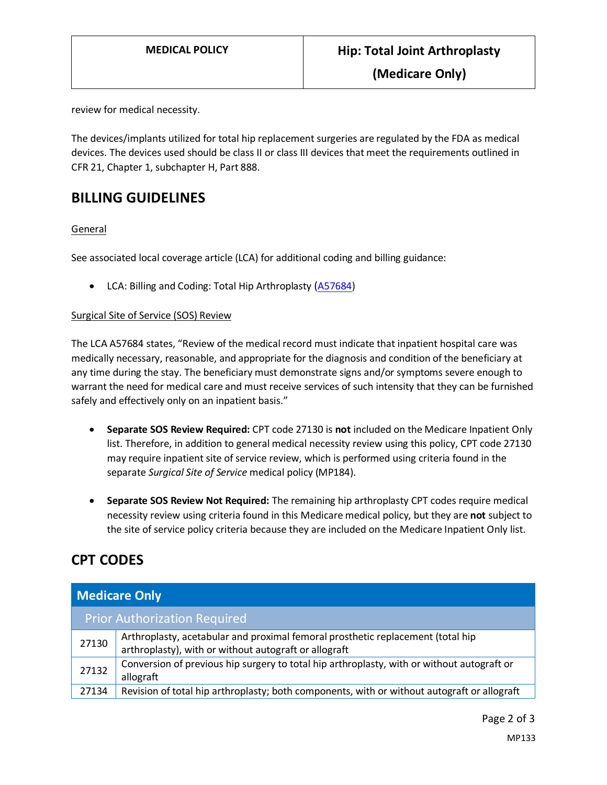**(Medicare Only)**

review for medical necessity.

The devices/implants utilized for total hip replacement surgeries are regulated by the FDA as medical devices. The devices used should be class II or class III devices that meet the requirements outlined in CFR 21, Chapter 1, subchapter H, Part 888.

### **BILLING GUIDELINES**

#### General

See associated local coverage article (LCA) for additional coding and billing guidance:

• LCA: Billing and Coding: Total Hip Arthroplasty ([A57684\)](https://www.cms.gov/medicare-coverage-database/details/article-details.aspx?articleId=57684)

#### Surgical Site of Service (SOS) Review

The LCA A57684 states, "Review of the medical record must indicate that inpatient hospital care was medically necessary, reasonable, and appropriate for the diagnosis and condition of the beneficiary at any time during the stay. The beneficiary must demonstrate signs and/or symptoms severe enough to warrant the need for medical care and must receive services of such intensity that they can be furnished safely and effectively only on an inpatient basis."

- **Separate SOS Review Required:** CPT code 27130 is **not** included on the Medicare Inpatient Only list. Therefore, in addition to general medical necessity review using this policy, CPT code 27130 may require inpatient site of service review, which is performed using criteria found in the separate *Surgical Site of Service* medical policy (MP184).
- **Separate SOS Review Not Required:** The remaining hip arthroplasty CPT codes require medical necessity review using criteria found in this Medicare medical policy, but they are **not** subject to the site of service policy criteria because they are included on the Medicare Inpatient Only list.

# **CPT CODES**

| <b>Medicare Only</b> |                                                                                                                                          |
|----------------------|------------------------------------------------------------------------------------------------------------------------------------------|
|                      | <b>Prior Authorization Required</b>                                                                                                      |
| 27130                | Arthroplasty, acetabular and proximal femoral prosthetic replacement (total hip<br>arthroplasty), with or without autograft or allograft |
| 27132                | Conversion of previous hip surgery to total hip arthroplasty, with or without autograft or<br>allograft                                  |
| 27134                | Revision of total hip arthroplasty; both components, with or without autograft or allograft                                              |